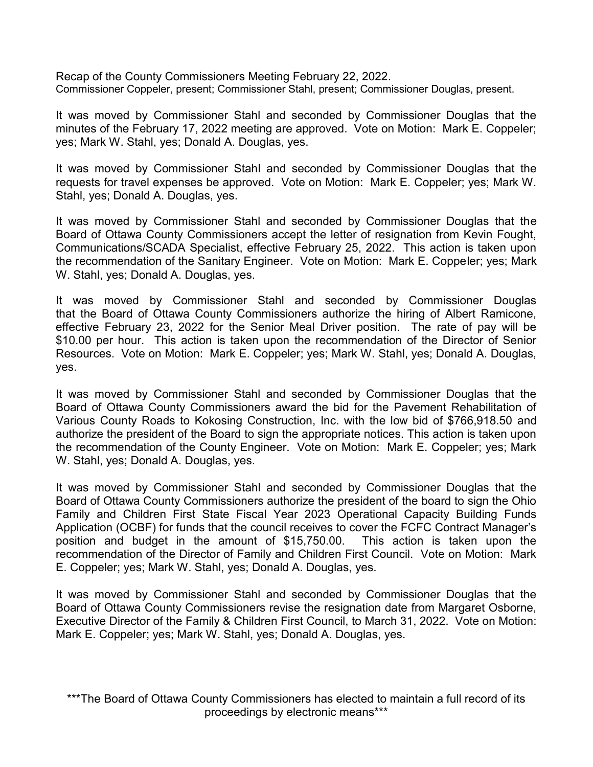Recap of the County Commissioners Meeting February 22, 2022. Commissioner Coppeler, present; Commissioner Stahl, present; Commissioner Douglas, present.

It was moved by Commissioner Stahl and seconded by Commissioner Douglas that the minutes of the February 17, 2022 meeting are approved. Vote on Motion: Mark E. Coppeler; yes; Mark W. Stahl, yes; Donald A. Douglas, yes.

It was moved by Commissioner Stahl and seconded by Commissioner Douglas that the requests for travel expenses be approved. Vote on Motion: Mark E. Coppeler; yes; Mark W. Stahl, yes; Donald A. Douglas, yes.

It was moved by Commissioner Stahl and seconded by Commissioner Douglas that the Board of Ottawa County Commissioners accept the letter of resignation from Kevin Fought, Communications/SCADA Specialist, effective February 25, 2022. This action is taken upon the recommendation of the Sanitary Engineer. Vote on Motion: Mark E. Coppeler; yes; Mark W. Stahl, yes; Donald A. Douglas, yes.

It was moved by Commissioner Stahl and seconded by Commissioner Douglas that the Board of Ottawa County Commissioners authorize the hiring of Albert Ramicone, effective February 23, 2022 for the Senior Meal Driver position. The rate of pay will be \$10.00 per hour. This action is taken upon the recommendation of the Director of Senior Resources. Vote on Motion: Mark E. Coppeler; yes; Mark W. Stahl, yes; Donald A. Douglas, yes.

It was moved by Commissioner Stahl and seconded by Commissioner Douglas that the Board of Ottawa County Commissioners award the bid for the Pavement Rehabilitation of Various County Roads to Kokosing Construction, Inc. with the low bid of \$766,918.50 and authorize the president of the Board to sign the appropriate notices. This action is taken upon the recommendation of the County Engineer. Vote on Motion: Mark E. Coppeler; yes; Mark W. Stahl, yes; Donald A. Douglas, yes.

It was moved by Commissioner Stahl and seconded by Commissioner Douglas that the Board of Ottawa County Commissioners authorize the president of the board to sign the Ohio Family and Children First State Fiscal Year 2023 Operational Capacity Building Funds Application (OCBF) for funds that the council receives to cover the FCFC Contract Manager's position and budget in the amount of \$15,750.00. This action is taken upon the recommendation of the Director of Family and Children First Council. Vote on Motion: Mark E. Coppeler; yes; Mark W. Stahl, yes; Donald A. Douglas, yes.

It was moved by Commissioner Stahl and seconded by Commissioner Douglas that the Board of Ottawa County Commissioners revise the resignation date from Margaret Osborne, Executive Director of the Family & Children First Council, to March 31, 2022. Vote on Motion: Mark E. Coppeler; yes; Mark W. Stahl, yes; Donald A. Douglas, yes.

\*\*\*The Board of Ottawa County Commissioners has elected to maintain a full record of its proceedings by electronic means\*\*\*